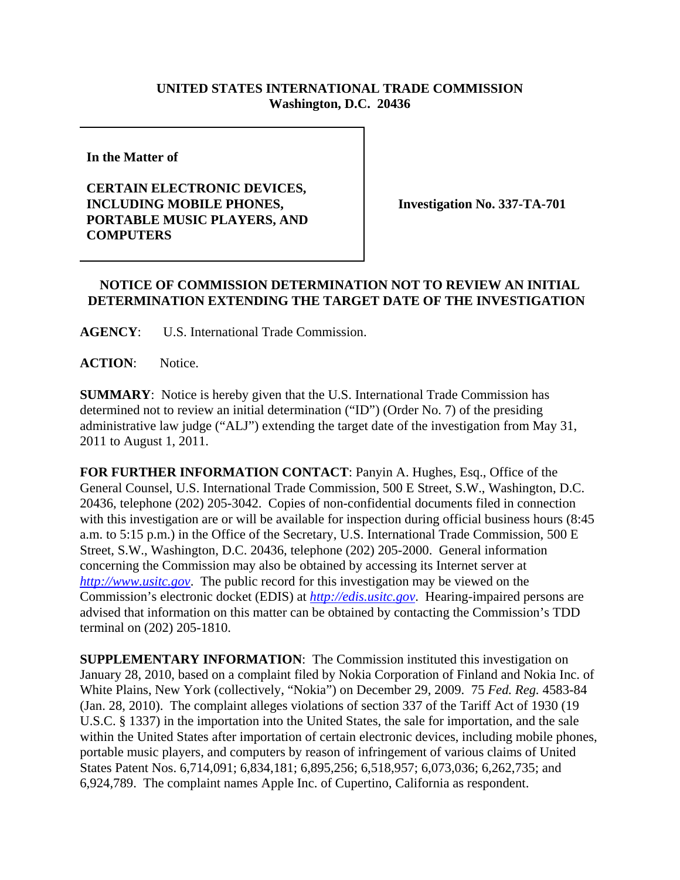## **UNITED STATES INTERNATIONAL TRADE COMMISSION Washington, D.C. 20436**

**In the Matter of** 

## **CERTAIN ELECTRONIC DEVICES, INCLUDING MOBILE PHONES, PORTABLE MUSIC PLAYERS, AND COMPUTERS**

**Investigation No. 337-TA-701**

## **NOTICE OF COMMISSION DETERMINATION NOT TO REVIEW AN INITIAL DETERMINATION EXTENDING THE TARGET DATE OF THE INVESTIGATION**

**AGENCY**: U.S. International Trade Commission.

**ACTION**: Notice.

**SUMMARY**: Notice is hereby given that the U.S. International Trade Commission has determined not to review an initial determination ("ID") (Order No. 7) of the presiding administrative law judge ("ALJ") extending the target date of the investigation from May 31, 2011 to August 1, 2011.

**FOR FURTHER INFORMATION CONTACT**: Panyin A. Hughes, Esq., Office of the General Counsel, U.S. International Trade Commission, 500 E Street, S.W., Washington, D.C. 20436, telephone (202) 205-3042. Copies of non-confidential documents filed in connection with this investigation are or will be available for inspection during official business hours (8:45 a.m. to 5:15 p.m.) in the Office of the Secretary, U.S. International Trade Commission, 500 E Street, S.W., Washington, D.C. 20436, telephone (202) 205-2000. General information concerning the Commission may also be obtained by accessing its Internet server at *http://www.usitc.gov*. The public record for this investigation may be viewed on the Commission's electronic docket (EDIS) at *http://edis.usitc.gov*. Hearing-impaired persons are advised that information on this matter can be obtained by contacting the Commission's TDD terminal on (202) 205-1810.

**SUPPLEMENTARY INFORMATION:** The Commission instituted this investigation on January 28, 2010, based on a complaint filed by Nokia Corporation of Finland and Nokia Inc. of White Plains, New York (collectively, "Nokia") on December 29, 2009. 75 *Fed. Reg.* 4583-84 (Jan. 28, 2010). The complaint alleges violations of section 337 of the Tariff Act of 1930 (19 U.S.C. § 1337) in the importation into the United States, the sale for importation, and the sale within the United States after importation of certain electronic devices, including mobile phones, portable music players, and computers by reason of infringement of various claims of United States Patent Nos. 6,714,091; 6,834,181; 6,895,256; 6,518,957; 6,073,036; 6,262,735; and 6,924,789. The complaint names Apple Inc. of Cupertino, California as respondent.